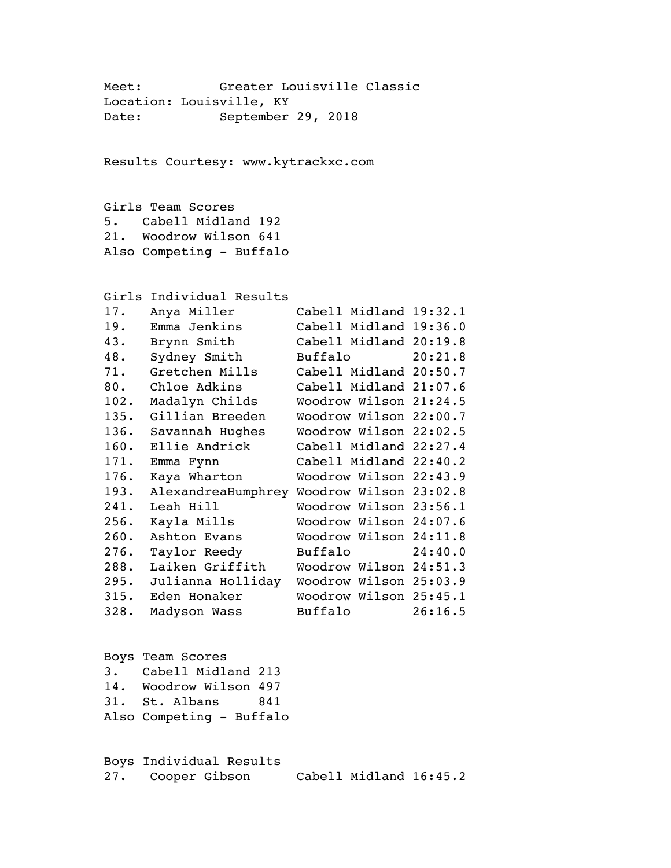Meet: Greater Louisville Classic Location: Louisville, KY Date: September 29, 2018 Results Courtesy: www.kytrackxc.com Girls Team Scores 5. Cabell Midland 192 21. Woodrow Wilson 641 Also Competing - Buffalo Girls Individual Results 17. Anya Miller Cabell Midland 19:32.1 19. Emma Jenkins Cabell Midland 19:36.0 43. Brynn Smith Cabell Midland 20:19.8 48. Sydney Smith Buffalo 20:21.8 71. Gretchen Mills Cabell Midland 20:50.7 80. Chloe Adkins Cabell Midland 21:07.6 102. Madalyn Childs Woodrow Wilson 21:24.5 135. Gillian Breeden Woodrow Wilson 22:00.7 136. Savannah Hughes Woodrow Wilson 22:02.5 160. Ellie Andrick Cabell Midland 22:27.4 171. Emma Fynn Cabell Midland 22:40.2 176. Kaya Wharton Woodrow Wilson 22:43.9 193. AlexandreaHumphrey Woodrow Wilson 23:02.8 241. Leah Hill Woodrow Wilson 23:56.1 256. Kayla Mills Woodrow Wilson 24:07.6 260. Ashton Evans Woodrow Wilson 24:11.8 276. Taylor Reedy Buffalo 24:40.0 288. Laiken Griffith Woodrow Wilson 24:51.3 295. Julianna Holliday Woodrow Wilson 25:03.9 315. Eden Honaker Woodrow Wilson 25:45.1 328. Madyson Wass Buffalo 26:16.5 Boys Team Scores 3. Cabell Midland 213 14. Woodrow Wilson 497 31. St. Albans 841 Also Competing - Buffalo Boys Individual Results 27. Cooper Gibson Cabell Midland 16:45.2